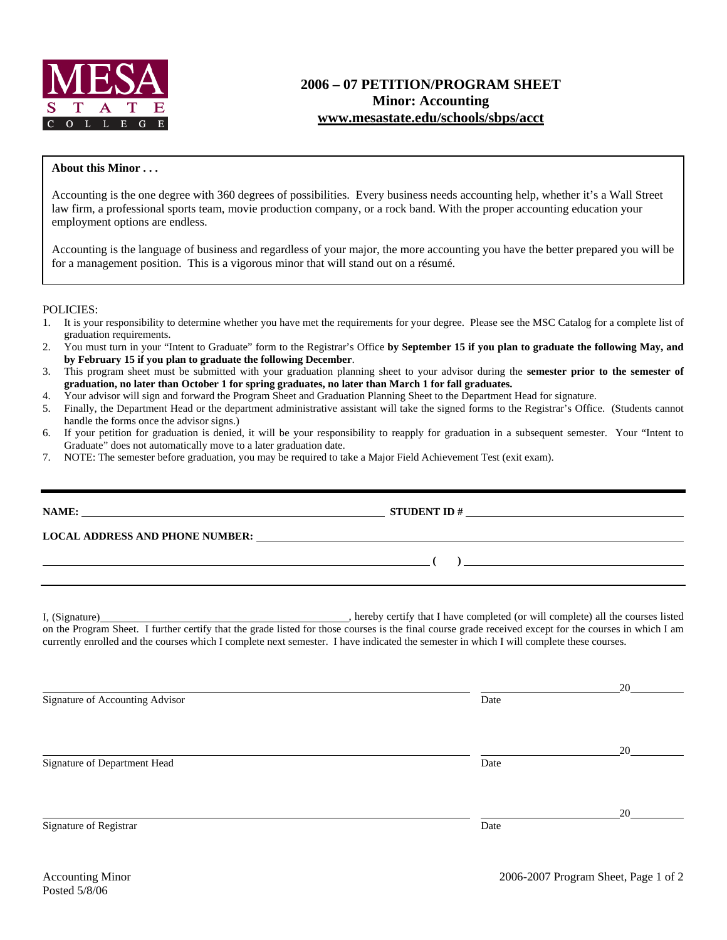

## **2006 – 07 PETITION/PROGRAM SHEET Minor: Accounting www.mesastate.edu/schools/sbps/acct**

## **About this Minor . . .**

Accounting is the one degree with 360 degrees of possibilities. Every business needs accounting help, whether it's a Wall Street law firm, a professional sports team, movie production company, or a rock band. With the proper accounting education your employment options are endless.

Accounting is the language of business and regardless of your major, the more accounting you have the better prepared you will be for a management position. This is a vigorous minor that will stand out on a résumé.

## POLICIES:

- 1. It is your responsibility to determine whether you have met the requirements for your degree. Please see the MSC Catalog for a complete list of graduation requirements.
- 2. You must turn in your "Intent to Graduate" form to the Registrar's Office **by September 15 if you plan to graduate the following May, and by February 15 if you plan to graduate the following December**.
- 3. This program sheet must be submitted with your graduation planning sheet to your advisor during the **semester prior to the semester of graduation, no later than October 1 for spring graduates, no later than March 1 for fall graduates.**
- 4. Your advisor will sign and forward the Program Sheet and Graduation Planning Sheet to the Department Head for signature.
- 5. Finally, the Department Head or the department administrative assistant will take the signed forms to the Registrar's Office. (Students cannot handle the forms once the advisor signs.)
- 6. If your petition for graduation is denied, it will be your responsibility to reapply for graduation in a subsequent semester. Your "Intent to Graduate" does not automatically move to a later graduation date.
- 7. NOTE: The semester before graduation, you may be required to take a Major Field Achievement Test (exit exam).

|                                 | LOCAL ADDRESS AND PHONE NUMBER: The contract of the contract of the contract of the contract of the contract of the contract of the contract of the contract of the contract of the contract of the contract of the contract o                                                                      |    |  |  |  |
|---------------------------------|-----------------------------------------------------------------------------------------------------------------------------------------------------------------------------------------------------------------------------------------------------------------------------------------------------|----|--|--|--|
|                                 | $\overline{a}$ (b) and the contract of $\overline{a}$ (b) and the contract of $\overline{a}$ (b) and the contract of $\overline{a}$                                                                                                                                                                 |    |  |  |  |
|                                 | on the Program Sheet. I further certify that the grade listed for those courses is the final course grade received except for the courses in which I am<br>currently enrolled and the courses which I complete next semester. I have indicated the semester in which I will complete these courses. |    |  |  |  |
| Signature of Accounting Advisor | Date                                                                                                                                                                                                                                                                                                | 20 |  |  |  |
| Signature of Department Head    | Date                                                                                                                                                                                                                                                                                                | 20 |  |  |  |
| Signature of Registrar          | Date                                                                                                                                                                                                                                                                                                | 20 |  |  |  |